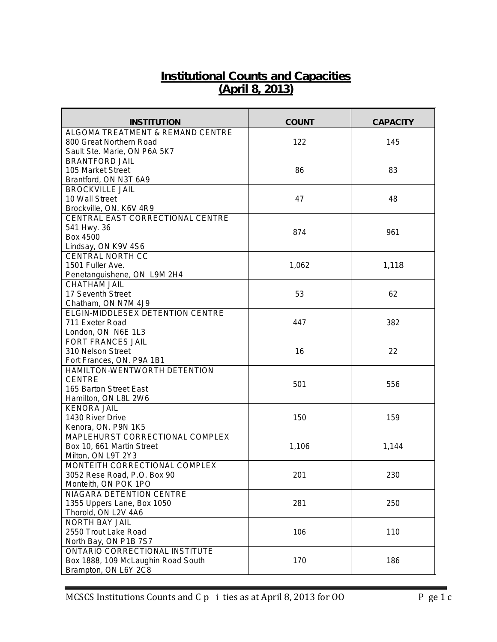## **Institutional Counts and Capacities (April 8, 2013)**

| <b>INSTITUTION</b>                                           | <b>COUNT</b> | <b>CAPACITY</b> |
|--------------------------------------------------------------|--------------|-----------------|
| ALGOMA TREATMENT & REMAND CENTRE                             |              |                 |
| 800 Great Northern Road                                      | 122          | 145             |
| Sault Ste. Marie, ON P6A 5K7                                 |              |                 |
| BRANTFORD JAIL                                               |              |                 |
| 105 Market Street                                            | 86           | 83              |
| Brantford, ON N3T 6A9                                        |              |                 |
| <b>BROCKVILLE JAIL</b>                                       |              |                 |
| 10 Wall Street                                               | 47           | 48              |
| Brockville, ON. K6V 4R9<br>CENTRAL EAST CORRECTIONAL CENTRE  |              |                 |
| 541 Hwy. 36                                                  |              |                 |
| <b>Box 4500</b>                                              | 874          | 961             |
| Lindsay, ON K9V 4S6                                          |              |                 |
| <b>CENTRAL NORTH CC</b>                                      |              |                 |
| 1501 Fuller Ave.                                             | 1,062        | 1,118           |
| Penetanguishene, ON L9M 2H4                                  |              |                 |
| <b>CHATHAM JAIL</b>                                          |              |                 |
| 17 Seventh Street                                            | 53           | 62              |
| Chatham, ON N7M 4J9                                          |              |                 |
| <b>ELGIN-MIDDLESEX DETENTION CENTRE</b>                      |              |                 |
| 711 Exeter Road                                              | 447          | 382             |
| London, ON N6E 1L3                                           |              |                 |
| <b>FORT FRANCES JAIL</b>                                     |              |                 |
| 310 Nelson Street                                            | 16           | 22              |
| Fort Frances, ON. P9A 1B1                                    |              |                 |
| HAMILTON-WENTWORTH DETENTION                                 |              |                 |
| <b>CENTRE</b>                                                | 501          | 556             |
| 165 Barton Street East                                       |              |                 |
| Hamilton, ON L8L 2W6                                         |              |                 |
| <b>KENORA JAIL</b>                                           |              |                 |
| 1430 River Drive                                             | 150          | 159             |
| Kenora, ON. P9N 1K5                                          |              |                 |
| MAPLEHURST CORRECTIONAL COMPLEX                              |              |                 |
| Box 10, 661 Martin Street                                    | 1,106        | 1,144           |
| Milton, ON L9T 2Y3                                           |              |                 |
| MONTEITH CORRECTIONAL COMPLEX<br>3052 Rese Road, P.O. Box 90 | 201          | 230             |
| Monteith, ON POK 1PO                                         |              |                 |
| NIAGARA DETENTION CENTRE                                     |              |                 |
| 1355 Uppers Lane, Box 1050                                   | 281          | 250             |
| Thorold, ON L2V 4A6                                          |              |                 |
| <b>NORTH BAY JAIL</b>                                        |              |                 |
| 2550 Trout Lake Road                                         | 106          | 110             |
| North Bay, ON P1B 7S7                                        |              |                 |
| ONTARIO CORRECTIONAL INSTITUTE                               |              |                 |
| Box 1888, 109 McLaughin Road South                           | 170          | 186             |
| Brampton, ON L6Y 2C8                                         |              |                 |